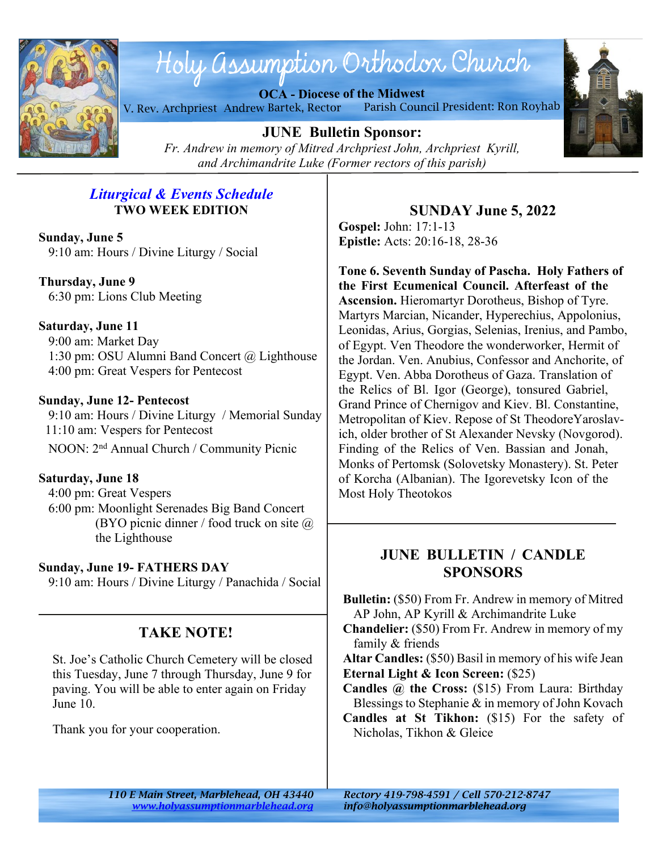

# Holy assumption Orthodox Church

**OCA - Diocese of the Midwest** V. Rev. Archpriest Andrew Bartek, Rector Parish Council President: Ron Royhab



**JUNE Bulletin Sponsor:** *Fr. Andrew in memory of Mitred Archpriest John, Archpriest Kyrill, and Archimandrite Luke (Former rectors of this parish)*

## *Liturgical & Events Schedule* **TWO WEEK EDITION**

**Sunday, June 5** 9:10 am: Hours / Divine Liturgy / Social

**Thursday, June 9** 6:30 pm: Lions Club Meeting

## **Saturday, June 11**

 9:00 am: Market Day 1:30 pm: OSU Alumni Band Concert @ Lighthouse 4:00 pm: Great Vespers for Pentecost

## **Sunday, June 12- Pentecost**

 9:10 am: Hours / Divine Liturgy / Memorial Sunday 11:10 am: Vespers for Pentecost NOON: 2nd Annual Church / Community Picnic

## **Saturday, June 18**

 4:00 pm: Great Vespers 6:00 pm: Moonlight Serenades Big Band Concert (BYO picnic dinner / food truck on site  $\omega$ ) the Lighthouse

## **Sunday, June 19- FATHERS DAY**

9:10 am: Hours / Divine Liturgy / Panachida / Social

# **TAKE NOTE!**

St. Joe's Catholic Church Cemetery will be closed this Tuesday, June 7 through Thursday, June 9 for paving. You will be able to enter again on Friday June 10.

Thank you for your cooperation.

# **SUNDAY June 5, 2022**

**Gospel:** John: 17:1-13 **Epistle:** Acts: 20:16-18, 28-36

**Tone 6. Seventh Sunday of Pascha. Holy Fathers of the First Ecumenical Council. Afterfeast of the Ascension.** Hieromartyr Dorotheus, Bishop of Tyre. Martyrs Marcian, Nicander, Hyperechius, Appolonius, Leonidas, Arius, Gorgias, Selenias, Irenius, and Pambo, of Egypt. Ven Theodore the wonderworker, Hermit of the Jordan. Ven. Anubius, Confessor and Anchorite, of Egypt. Ven. Abba Dorotheus of Gaza. Translation of the Relics of Bl. Igor (George), tonsured Gabriel, Grand Prince of Chernigov and Kiev. Bl. Constantine, Metropolitan of Kiev. Repose of St TheodoreYaroslavich, older brother of St Alexander Nevsky (Novgorod). Finding of the Relics of Ven. Bassian and Jonah, Monks of Pertomsk (Solovetsky Monastery). St. Peter of Korcha (Albanian). The Igorevetsky Icon of the Most Holy Theotokos

# **JUNE BULLETIN / CANDLE SPONSORS**

**Bulletin:** (\$50) From Fr. Andrew in memory of Mitred AP John, AP Kyrill & Archimandrite Luke

**Chandelier:** (\$50) From Fr. Andrew in memory of my family & friends

**Altar Candles:** (\$50) Basil in memory of his wife Jean **Eternal Light & Icon Screen:** (\$25)

**Candles @ the Cross:** (\$15) From Laura: Birthday Blessings to Stephanie & in memory of John Kovach

**Candles at St Tikhon:** (\$15) For the safety of Nicholas, Tikhon & Gleice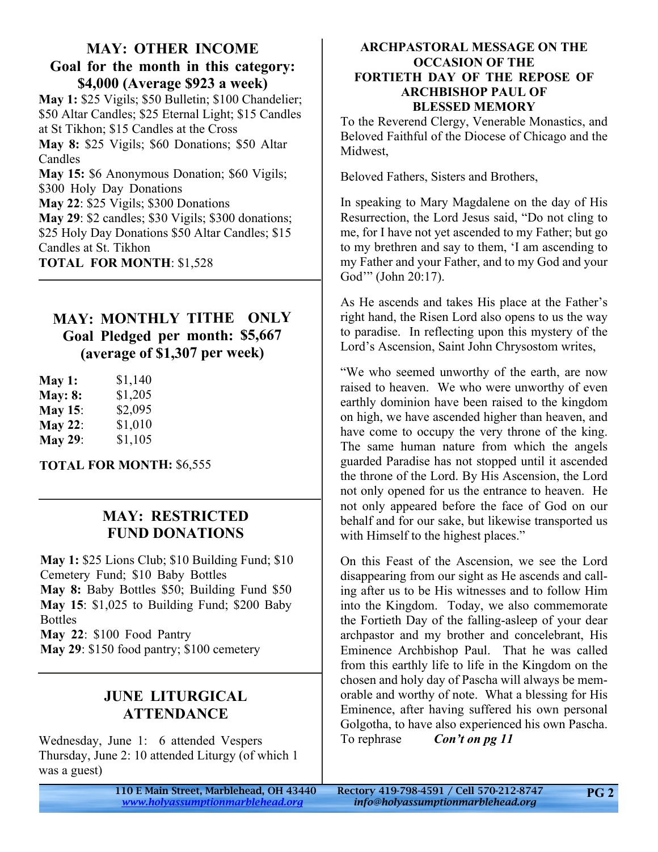## **MAY: OTHER INCOME Goal for the month in this category: \$4,000 (Average \$923 a week)**

**May 1:** \$25 Vigils; \$50 Bulletin; \$100 Chandelier; \$50 Altar Candles; \$25 Eternal Light; \$15 Candles at St Tikhon; \$15 Candles at the Cross

**May 8:** \$25 Vigils; \$60 Donations; \$50 Altar Candles

**May 15:** \$6 Anonymous Donation; \$60 Vigils; \$300 Holy Day Donations **May 22**: \$25 Vigils; \$300 Donations **May 29**: \$2 candles; \$30 Vigils; \$300 donations; \$25 Holy Day Donations \$50 Altar Candles; \$15 Candles at St. Tikhon

**TOTAL FOR MONTH**: \$1,528

# **MAY: MONTHLY TITHE ONLY Goal Pledged per month: \$5,667 (average of \$1,307 per week)**

| <b>May 1:</b>  | \$1,140 |
|----------------|---------|
| <b>May: 8:</b> | \$1,205 |
| <b>May 15:</b> | \$2,095 |
| <b>May 22:</b> | \$1,010 |
| <b>May 29:</b> | \$1,105 |

## **TOTAL FOR MONTH:** \$6,555

# **MAY: RESTRICTED FUND DONATIONS**

**May 1:** \$25 Lions Club; \$10 Building Fund; \$10 Cemetery Fund; \$10 Baby Bottles **May 8:** Baby Bottles \$50; Building Fund \$50 **May 15**: \$1,025 to Building Fund; \$200 Baby Bottles **May 22**: \$100 Food Pantry

**May 29**: \$150 food pantry; \$100 cemetery

# **JUNE LITURGICAL ATTENDANCE**

Wednesday, June 1: 6 attended Vespers Thursday, June 2: 10 attended Liturgy (of which 1 was a guest)

#### 110 E Main Street, Marblehead, OH 43440 Rectory 419-798-4591 / Cell 570-212-8747 *<www.holyassumptionmarblehead.org> info@holyassumptionmarblehead.org*

#### **ARCHPASTORAL MESSAGE ON THE OCCASION OF THE FORTIETH DAY OF THE REPOSE OF ARCHBISHOP PAUL OF BLESSED MEMORY**

To the Reverend Clergy, Venerable Monastics, and Beloved Faithful of the Diocese of Chicago and the Midwest,

Beloved Fathers, Sisters and Brothers,

In speaking to Mary Magdalene on the day of His Resurrection, the Lord Jesus said, "Do not cling to me, for I have not yet ascended to my Father; but go to my brethren and say to them, 'I am ascending to my Father and your Father, and to my God and your God'" (John 20:17).

As He ascends and takes His place at the Father's right hand, the Risen Lord also opens to us the way to paradise. In reflecting upon this mystery of the Lord's Ascension, Saint John Chrysostom writes,

"We who seemed unworthy of the earth, are now raised to heaven. We who were unworthy of even earthly dominion have been raised to the kingdom on high, we have ascended higher than heaven, and have come to occupy the very throne of the king. The same human nature from which the angels guarded Paradise has not stopped until it ascended the throne of the Lord. By His Ascension, the Lord not only opened for us the entrance to heaven. He not only appeared before the face of God on our behalf and for our sake, but likewise transported us with Himself to the highest places."

On this Feast of the Ascension, we see the Lord disappearing from our sight as He ascends and calling after us to be His witnesses and to follow Him into the Kingdom. Today, we also commemorate the Fortieth Day of the falling-asleep of your dear archpastor and my brother and concelebrant, His Eminence Archbishop Paul. That he was called from this earthly life to life in the Kingdom on the chosen and holy day of Pascha will always be memorable and worthy of note. What a blessing for His Eminence, after having suffered his own personal Golgotha, to have also experienced his own Pascha. To rephrase *Con't on pg 11*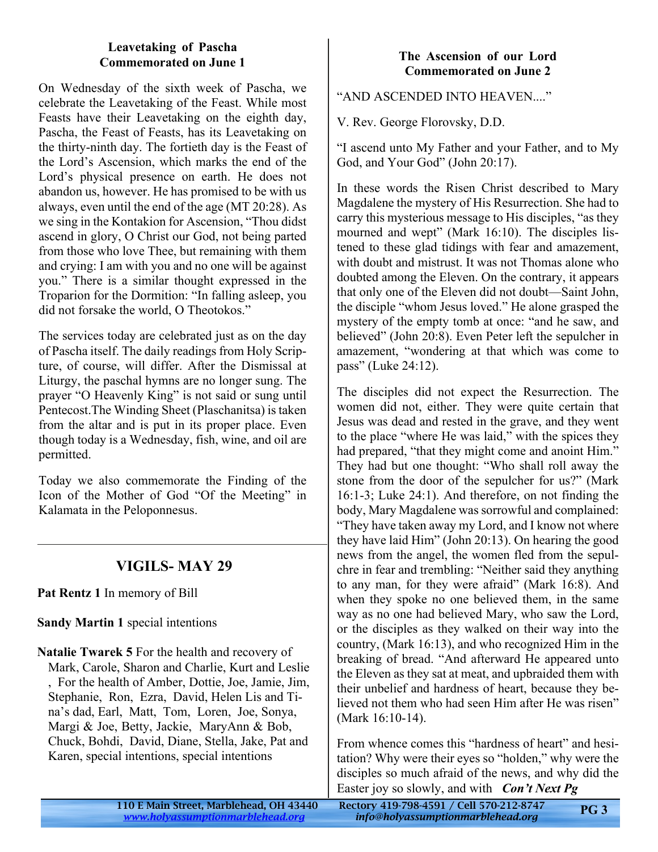#### **Leavetaking of Pascha Commemorated on June 1**

On Wednesday of the sixth week of Pascha, we celebrate the Leavetaking of the Feast. While most Feasts have their Leavetaking on the eighth day, Pascha, the Feast of Feasts, has its Leavetaking on the thirty-ninth day. The fortieth day is the Feast of the Lord's Ascension, which marks the end of the Lord's physical presence on earth. He does not abandon us, however. He has promised to be with us always, even until the end of the age (MT 20:28). As we sing in the Kontakion for Ascension, "Thou didst ascend in glory, O Christ our God, not being parted from those who love Thee, but remaining with them and crying: I am with you and no one will be against you." There is a similar thought expressed in the Troparion for the Dormition: "In falling asleep, you did not forsake the world, O Theotokos."

The services today are celebrated just as on the day of Pascha itself. The daily readings from Holy Scripture, of course, will differ. After the Dismissal at Liturgy, the paschal hymns are no longer sung. The prayer "O Heavenly King" is not said or sung until Pentecost.The Winding Sheet (Plaschanitsa) is taken from the altar and is put in its proper place. Even though today is a Wednesday, fish, wine, and oil are permitted.

Today we also commemorate the Finding of the Icon of the Mother of God "Of the Meeting" in Kalamata in the Peloponnesus.

## **VIGILS- MAY 29**

**Pat Rentz 1** In memory of Bill

#### **Sandy Martin 1** special intentions

**Natalie Twarek 5** For the health and recovery of Mark, Carole, Sharon and Charlie, Kurt and Leslie , For the health of Amber, Dottie, Joe, Jamie, Jim, Stephanie, Ron, Ezra, David, Helen Lis and Tina's dad, Earl, Matt, Tom, Loren, Joe, Sonya, Margi & Joe, Betty, Jackie, MaryAnn & Bob, Chuck, Bohdi, David, Diane, Stella, Jake, Pat and Karen, special intentions, special intentions

#### **The Ascension of our Lord Commemorated on June 2**

"AND ASCENDED INTO HEAVEN...."

V. Rev. George Florovsky, D.D.

"I ascend unto My Father and your Father, and to My God, and Your God" (John 20:17).

In these words the Risen Christ described to Mary Magdalene the mystery of His Resurrection. She had to carry this mysterious message to His disciples, "as they mourned and wept" (Mark 16:10). The disciples listened to these glad tidings with fear and amazement, with doubt and mistrust. It was not Thomas alone who doubted among the Eleven. On the contrary, it appears that only one of the Eleven did not doubt—Saint John, the disciple "whom Jesus loved." He alone grasped the mystery of the empty tomb at once: "and he saw, and believed" (John 20:8). Even Peter left the sepulcher in amazement, "wondering at that which was come to pass" (Luke 24:12).

The disciples did not expect the Resurrection. The women did not, either. They were quite certain that Jesus was dead and rested in the grave, and they went to the place "where He was laid," with the spices they had prepared, "that they might come and anoint Him." They had but one thought: "Who shall roll away the stone from the door of the sepulcher for us?" (Mark 16:1-3; Luke 24:1). And therefore, on not finding the body, Mary Magdalene was sorrowful and complained: "They have taken away my Lord, and I know not where they have laid Him" (John 20:13). On hearing the good news from the angel, the women fled from the sepulchre in fear and trembling: "Neither said they anything to any man, for they were afraid" (Mark 16:8). And when they spoke no one believed them, in the same way as no one had believed Mary, who saw the Lord, or the disciples as they walked on their way into the country, (Mark 16:13), and who recognized Him in the breaking of bread. "And afterward He appeared unto the Eleven as they sat at meat, and upbraided them with their unbelief and hardness of heart, because they believed not them who had seen Him after He was risen" (Mark 16:10-14).

From whence comes this "hardness of heart" and hesitation? Why were their eyes so "holden," why were the disciples so much afraid of the news, and why did the Easter joy so slowly, and with *Con't Next Pg*

| 110 E Main Street, Marblehead, OH 43440 | Rectory 419-798-4591 / Cell 570-212-8747 | <b>PG3</b> |
|-----------------------------------------|------------------------------------------|------------|
| www.holyassumptionmarblehead.org        | info@holyassumptionmarblehead.org        |            |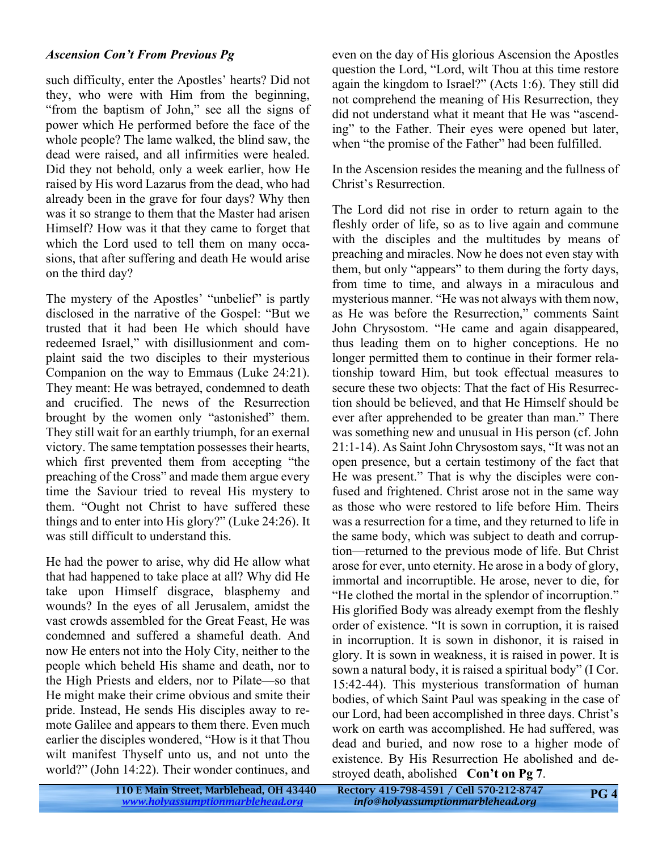#### *Ascension Con't From Previous Pg*

such difficulty, enter the Apostles' hearts? Did not they, who were with Him from the beginning, "from the baptism of John," see all the signs of power which He performed before the face of the whole people? The lame walked, the blind saw, the dead were raised, and all infirmities were healed. Did they not behold, only a week earlier, how He raised by His word Lazarus from the dead, who had already been in the grave for four days? Why then was it so strange to them that the Master had arisen Himself? How was it that they came to forget that which the Lord used to tell them on many occasions, that after suffering and death He would arise on the third day?

The mystery of the Apostles' "unbelief" is partly disclosed in the narrative of the Gospel: "But we trusted that it had been He which should have redeemed Israel," with disillusionment and complaint said the two disciples to their mysterious Companion on the way to Emmaus (Luke 24:21). They meant: He was betrayed, condemned to death and crucified. The news of the Resurrection brought by the women only "astonished" them. They still wait for an earthly triumph, for an exernal victory. The same temptation possesses their hearts, which first prevented them from accepting "the preaching of the Cross" and made them argue every time the Saviour tried to reveal His mystery to them. "Ought not Christ to have suffered these things and to enter into His glory?" (Luke 24:26). It was still difficult to understand this.

He had the power to arise, why did He allow what that had happened to take place at all? Why did He take upon Himself disgrace, blasphemy and wounds? In the eyes of all Jerusalem, amidst the vast crowds assembled for the Great Feast, He was condemned and suffered a shameful death. And now He enters not into the Holy City, neither to the people which beheld His shame and death, nor to the High Priests and elders, nor to Pilate—so that He might make their crime obvious and smite their pride. Instead, He sends His disciples away to remote Galilee and appears to them there. Even much earlier the disciples wondered, "How is it that Thou wilt manifest Thyself unto us, and not unto the world?" (John 14:22). Their wonder continues, and

even on the day of His glorious Ascension the Apostles question the Lord, "Lord, wilt Thou at this time restore again the kingdom to Israel?" (Acts 1:6). They still did not comprehend the meaning of His Resurrection, they did not understand what it meant that He was "ascending" to the Father. Their eyes were opened but later, when "the promise of the Father" had been fulfilled.

In the Ascension resides the meaning and the fullness of Christ's Resurrection.

The Lord did not rise in order to return again to the fleshly order of life, so as to live again and commune with the disciples and the multitudes by means of preaching and miracles. Now he does not even stay with them, but only "appears" to them during the forty days, from time to time, and always in a miraculous and mysterious manner. "He was not always with them now, as He was before the Resurrection," comments Saint John Chrysostom. "He came and again disappeared, thus leading them on to higher conceptions. He no longer permitted them to continue in their former relationship toward Him, but took effectual measures to secure these two objects: That the fact of His Resurrection should be believed, and that He Himself should be ever after apprehended to be greater than man." There was something new and unusual in His person (cf. John 21:1-14). As Saint John Chrysostom says, "It was not an open presence, but a certain testimony of the fact that He was present." That is why the disciples were confused and frightened. Christ arose not in the same way as those who were restored to life before Him. Theirs was a resurrection for a time, and they returned to life in the same body, which was subject to death and corruption—returned to the previous mode of life. But Christ arose for ever, unto eternity. He arose in a body of glory, immortal and incorruptible. He arose, never to die, for "He clothed the mortal in the splendor of incorruption." His glorified Body was already exempt from the fleshly order of existence. "It is sown in corruption, it is raised in incorruption. It is sown in dishonor, it is raised in glory. It is sown in weakness, it is raised in power. It is sown a natural body, it is raised a spiritual body" (I Cor. 15:42-44). This mysterious transformation of human bodies, of which Saint Paul was speaking in the case of our Lord, had been accomplished in three days. Christ's work on earth was accomplished. He had suffered, was dead and buried, and now rose to a higher mode of existence. By His Resurrection He abolished and destroyed death, abolished **Con't on Pg 7**.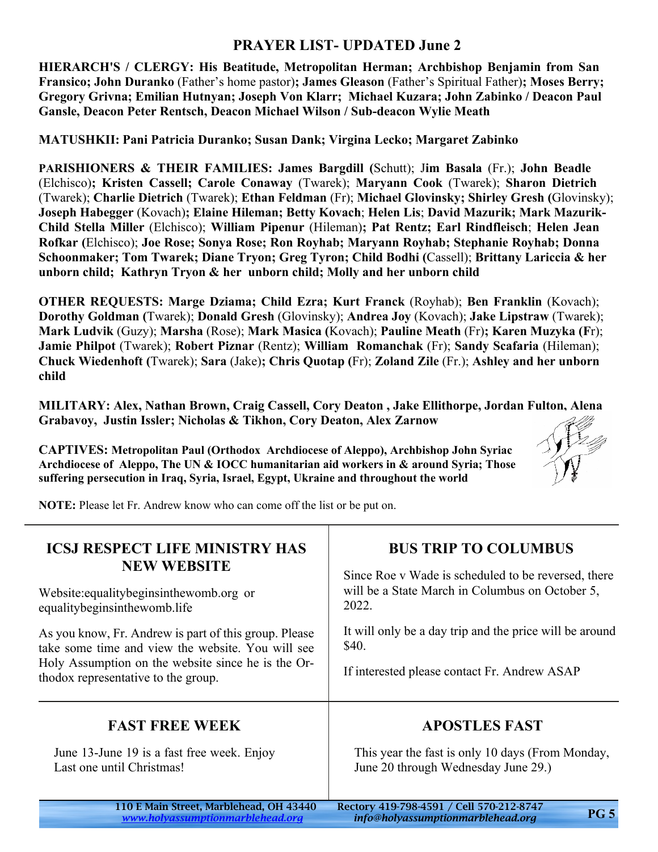# **PRAYER LIST- UPDATED June 2**

**HIERARCH'S / CLERGY: His Beatitude, Metropolitan Herman; Archbishop Benjamin from San Fransico; John Duranko** (Father's home pastor)**; James Gleason** (Father's Spiritual Father)**; Moses Berry; Gregory Grivna; Emilian Hutnyan; Joseph Von Klarr; Michael Kuzara; John Zabinko / Deacon Paul Gansle, Deacon Peter Rentsch, Deacon Michael Wilson / Sub-deacon Wylie Meath**

**MATUSHKII: Pani Patricia Duranko; Susan Dank; Virgina Lecko; Margaret Zabinko**

**PARISHIONERS & THEIR FAMILIES: James Bargdill (**Schutt); J**im Basala** (Fr.); **John Beadle** (Elchisco)**; Kristen Cassell; Carole Conaway** (Twarek); **Maryann Cook** (Twarek); **Sharon Dietrich** (Twarek); **Charlie Dietrich** (Twarek); **Ethan Feldman** (Fr); **Michael Glovinsky; Shirley Gresh (**Glovinsky); **Joseph Habegger** (Kovach)**; Elaine Hileman; Betty Kovach**; **Helen Lis**; **David Mazurik; Mark Mazurik-Child Stella Miller** (Elchisco); **William Pipenur** (Hileman)**; Pat Rentz; Earl Rindfleisch**; **Helen Jean Rofkar (**Elchisco); **Joe Rose; Sonya Rose; Ron Royhab; Maryann Royhab; Stephanie Royhab; Donna Schoonmaker; Tom Twarek; Diane Tryon; Greg Tyron; Child Bodhi (**Cassell); **Brittany Lariccia & her unborn child; Kathryn Tryon & her unborn child; Molly and her unborn child**

**OTHER REQUESTS: Marge Dziama; Child Ezra; Kurt Franck** (Royhab); **Ben Franklin** (Kovach); **Dorothy Goldman (**Twarek); **Donald Gresh** (Glovinsky); **Andrea Joy** (Kovach); **Jake Lipstraw** (Twarek); **Mark Ludvik** (Guzy); **Marsha** (Rose); **Mark Masica (**Kovach); **Pauline Meath** (Fr)**; Karen Muzyka (F**r); **Jamie Philpot** (Twarek); **Robert Piznar** (Rentz); **William Romanchak** (Fr); **Sandy Scafaria** (Hileman); **Chuck Wiedenhoft (**Twarek); **Sara** (Jake)**; Chris Quotap (**Fr); **Zoland Zile** (Fr.); **Ashley and her unborn child**

**MILITARY: Alex, Nathan Brown, Craig Cassell, Cory Deaton , Jake Ellithorpe, Jordan Fulton, Alena Grabavoy, Justin Issler; Nicholas & Tikhon, Cory Deaton, Alex Zarnow**

**CAPTIVES: Metropolitan Paul (Orthodox Archdiocese of Aleppo), Archbishop John Syriac Archdiocese of Aleppo, The UN & IOCC humanitarian aid workers in & around Syria; Those suffering persecution in Iraq, Syria, Israel, Egypt, Ukraine and throughout the world**



**NOTE:** Please let Fr. Andrew know who can come off the list or be put on.

| <b>ICSJ RESPECT LIFE MINISTRY HAS</b><br><b>NEW WEBSITE</b><br>Website: equality begins in the womb.org or<br>equalitybeginsinthewomb.life<br>As you know, Fr. Andrew is part of this group. Please<br>take some time and view the website. You will see<br>Holy Assumption on the website since he is the Or-<br>thodox representative to the group. | <b>BUS TRIP TO COLUMBUS</b><br>Since Roe v Wade is scheduled to be reversed, there<br>will be a State March in Columbus on October 5,<br>2022.<br>It will only be a day trip and the price will be around<br>\$40.<br>If interested please contact Fr. Andrew ASAP |
|-------------------------------------------------------------------------------------------------------------------------------------------------------------------------------------------------------------------------------------------------------------------------------------------------------------------------------------------------------|--------------------------------------------------------------------------------------------------------------------------------------------------------------------------------------------------------------------------------------------------------------------|
| <b>FAST FREE WEEK</b><br>June 13-June 19 is a fast free week. Enjoy<br>Last one until Christmas!                                                                                                                                                                                                                                                      | <b>APOSTLES FAST</b><br>This year the fast is only 10 days (From Monday,<br>June 20 through Wednesday June 29.)                                                                                                                                                    |
| 110 E Main Street, Marblehead, OH 43440<br>www.holyassumptionmarblehead.org                                                                                                                                                                                                                                                                           | Rectory 419-798-4591 / Cell 570-212-8747<br><b>PG 5</b><br>info@holyassumptionmarblehead.org                                                                                                                                                                       |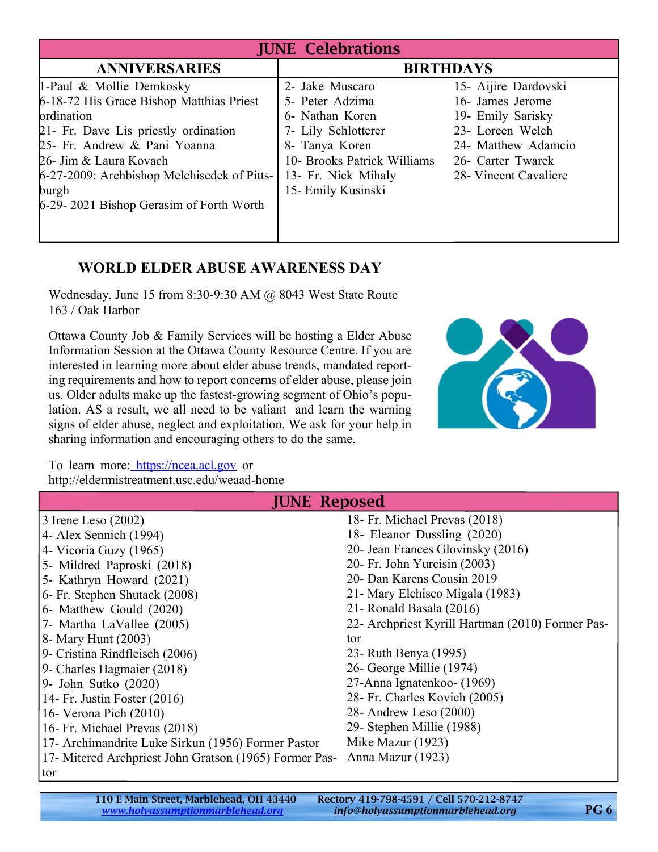| <b>JUNE Celebrations</b>                                                                                                                                                             |                                                                                                                               |                                                                                                                               |
|--------------------------------------------------------------------------------------------------------------------------------------------------------------------------------------|-------------------------------------------------------------------------------------------------------------------------------|-------------------------------------------------------------------------------------------------------------------------------|
| <b>ANNIVERSARIES</b>                                                                                                                                                                 | <b>BIRTHDAYS</b>                                                                                                              |                                                                                                                               |
| 1-Paul & Mollie Demkosky<br>6-18-72 His Grace Bishop Matthias Priest<br>ordination<br>21- Fr. Dave Lis priestly ordination<br>25- Fr. Andrew & Pani Yoanna<br>26- Jim & Laura Kovach | 2- Jake Muscaro<br>5- Peter Adzima<br>6- Nathan Koren<br>7- Lily Schlotterer<br>8- Tanya Koren<br>10- Brooks Patrick Williams | 15- Aijire Dardovski<br>16- James Jerome<br>19- Emily Sarisky<br>23- Loreen Welch<br>24- Matthew Adamcio<br>26- Carter Twarek |
| 6-27-2009: Archbishop Melchisedek of Pitts-<br>burgh<br>6-29-2021 Bishop Gerasim of Forth Worth                                                                                      | 13- Fr. Nick Mihaly<br>15- Emily Kusinski                                                                                     | 28 Vincent Cavaliere                                                                                                          |

# **WORLD ELDER ABUSE AWARENESS DAY**

Wednesday, June 15 from 8:30-9:30 AM @ 8043 West State Route 163 / Oak Harbor

Ottawa County Job & Family Services will be hosting a Elder Abuse Information Session at the Ottawa County Resource Centre. If you are interested in learning more about elder abuse trends, mandated reporting requirements and how to report concerns of elder abuse, please join us. Older adults make up the fastest-growing segment of Ohio's population. AS a result, we all need to be valiant and learn the warning signs of elder abuse, neglect and exploitation. We ask for your help in sharing information and encouraging others to do the same.



To learn more[: https://ncea.acl.gov](https://ncea.acl.gov) or http://eldermistreatment.usc.edu/weaad-home

| <b>JUNE Reposed</b>                                    |                                                  |  |  |
|--------------------------------------------------------|--------------------------------------------------|--|--|
| 3 Irene Leso (2002)                                    | 18 - Fr. Michael Prevas (2018)                   |  |  |
| 4- Alex Sennich (1994)                                 | 18- Eleanor Dussling (2020)                      |  |  |
| 4- Vicoria Guzy (1965)                                 | 20- Jean Frances Glovinsky (2016)                |  |  |
| 5- Mildred Paproski (2018)                             | 20- Fr. John Yurcisin (2003)                     |  |  |
| 5- Kathryn Howard (2021)                               | 20- Dan Karens Cousin 2019                       |  |  |
| 6- Fr. Stephen Shutack (2008)                          | 21 - Mary Elchisco Migala (1983)                 |  |  |
| 6- Matthew Gould (2020)                                | 21- Ronald Basala (2016)                         |  |  |
| 7- Martha LaVallee (2005)                              | 22- Archpriest Kyrill Hartman (2010) Former Pas- |  |  |
| 8- Mary Hunt (2003)                                    | tor                                              |  |  |
| 9- Cristina Rindfleisch (2006)                         | 23- Ruth Benya (1995)                            |  |  |
| 9- Charles Hagmaier (2018)                             | 26- George Millie (1974)                         |  |  |
| 9- John Sutko (2020)                                   | 27-Anna Ignatenkoo- (1969)                       |  |  |
| 14- Fr. Justin Foster (2016)                           | 28- Fr. Charles Kovich (2005)                    |  |  |
| 16- Verona Pich (2010)                                 | 28- Andrew Leso (2000)                           |  |  |
| 16- Fr. Michael Prevas (2018)                          | 29- Stephen Millie (1988)                        |  |  |
| 17- Archimandrite Luke Sirkun (1956) Former Pastor     | Mike Mazur (1923)                                |  |  |
| 17- Mitered Archpriest John Gratson (1965) Former Pas- | Anna Mazur (1923)                                |  |  |
| tor                                                    |                                                  |  |  |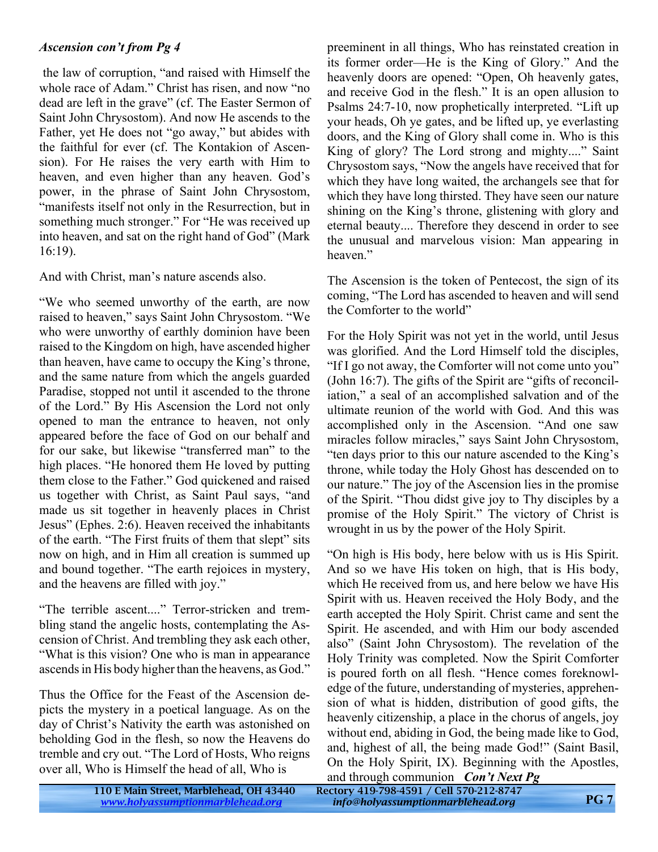#### *Ascension con't from Pg 4*

 the law of corruption, "and raised with Himself the whole race of Adam." Christ has risen, and now "no dead are left in the grave" (cf. The Easter Sermon of Saint John Chrysostom). And now He ascends to the Father, yet He does not "go away," but abides with the faithful for ever (cf. The Kontakion of Ascension). For He raises the very earth with Him to heaven, and even higher than any heaven. God's power, in the phrase of Saint John Chrysostom, "manifests itself not only in the Resurrection, but in something much stronger." For "He was received up into heaven, and sat on the right hand of God" (Mark 16:19).

And with Christ, man's nature ascends also.

"We who seemed unworthy of the earth, are now raised to heaven," says Saint John Chrysostom. "We who were unworthy of earthly dominion have been raised to the Kingdom on high, have ascended higher than heaven, have came to occupy the King's throne, and the same nature from which the angels guarded Paradise, stopped not until it ascended to the throne of the Lord." By His Ascension the Lord not only opened to man the entrance to heaven, not only appeared before the face of God on our behalf and for our sake, but likewise "transferred man" to the high places. "He honored them He loved by putting them close to the Father." God quickened and raised us together with Christ, as Saint Paul says, "and made us sit together in heavenly places in Christ Jesus" (Ephes. 2:6). Heaven received the inhabitants of the earth. "The First fruits of them that slept" sits now on high, and in Him all creation is summed up and bound together. "The earth rejoices in mystery, and the heavens are filled with joy."

"The terrible ascent...." Terror-stricken and trembling stand the angelic hosts, contemplating the Ascension of Christ. And trembling they ask each other, "What is this vision? One who is man in appearance ascends in His body higher than the heavens, as God."

Thus the Office for the Feast of the Ascension depicts the mystery in a poetical language. As on the day of Christ's Nativity the earth was astonished on beholding God in the flesh, so now the Heavens do tremble and cry out. "The Lord of Hosts, Who reigns over all, Who is Himself the head of all, Who is

preeminent in all things, Who has reinstated creation in its former order—He is the King of Glory." And the heavenly doors are opened: "Open, Oh heavenly gates, and receive God in the flesh." It is an open allusion to Psalms 24:7-10, now prophetically interpreted. "Lift up your heads, Oh ye gates, and be lifted up, ye everlasting doors, and the King of Glory shall come in. Who is this King of glory? The Lord strong and mighty...." Saint Chrysostom says, "Now the angels have received that for which they have long waited, the archangels see that for which they have long thirsted. They have seen our nature shining on the King's throne, glistening with glory and eternal beauty.... Therefore they descend in order to see the unusual and marvelous vision: Man appearing in heaven."

The Ascension is the token of Pentecost, the sign of its coming, "The Lord has ascended to heaven and will send the Comforter to the world"

For the Holy Spirit was not yet in the world, until Jesus was glorified. And the Lord Himself told the disciples, "If I go not away, the Comforter will not come unto you" (John 16:7). The gifts of the Spirit are "gifts of reconciliation," a seal of an accomplished salvation and of the ultimate reunion of the world with God. And this was accomplished only in the Ascension. "And one saw miracles follow miracles," says Saint John Chrysostom, "ten days prior to this our nature ascended to the King's throne, while today the Holy Ghost has descended on to our nature." The joy of the Ascension lies in the promise of the Spirit. "Thou didst give joy to Thy disciples by a promise of the Holy Spirit." The victory of Christ is wrought in us by the power of the Holy Spirit.

"On high is His body, here below with us is His Spirit. And so we have His token on high, that is His body, which He received from us, and here below we have His Spirit with us. Heaven received the Holy Body, and the earth accepted the Holy Spirit. Christ came and sent the Spirit. He ascended, and with Him our body ascended also" (Saint John Chrysostom). The revelation of the Holy Trinity was completed. Now the Spirit Comforter is poured forth on all flesh. "Hence comes foreknowledge of the future, understanding of mysteries, apprehension of what is hidden, distribution of good gifts, the heavenly citizenship, a place in the chorus of angels, joy without end, abiding in God, the being made like to God, and, highest of all, the being made God!" (Saint Basil, On the Holy Spirit, IX). Beginning with the Apostles, and through communion *Con't Next Pg*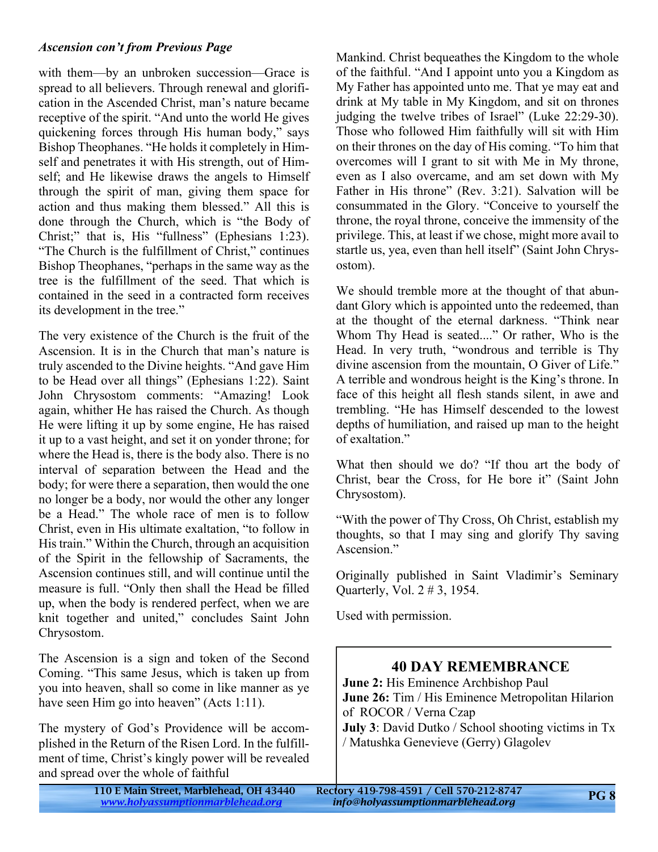#### *Ascension con't from Previous Page*

with them—by an unbroken succession—Grace is spread to all believers. Through renewal and glorification in the Ascended Christ, man's nature became receptive of the spirit. "And unto the world He gives quickening forces through His human body," says Bishop Theophanes. "He holds it completely in Himself and penetrates it with His strength, out of Himself; and He likewise draws the angels to Himself through the spirit of man, giving them space for action and thus making them blessed." All this is done through the Church, which is "the Body of Christ;" that is, His "fullness" (Ephesians 1:23). "The Church is the fulfillment of Christ," continues Bishop Theophanes, "perhaps in the same way as the tree is the fulfillment of the seed. That which is contained in the seed in a contracted form receives its development in the tree."

The very existence of the Church is the fruit of the Ascension. It is in the Church that man's nature is truly ascended to the Divine heights. "And gave Him to be Head over all things" (Ephesians 1:22). Saint John Chrysostom comments: "Amazing! Look again, whither He has raised the Church. As though He were lifting it up by some engine, He has raised it up to a vast height, and set it on yonder throne; for where the Head is, there is the body also. There is no interval of separation between the Head and the body; for were there a separation, then would the one no longer be a body, nor would the other any longer be a Head." The whole race of men is to follow Christ, even in His ultimate exaltation, "to follow in His train." Within the Church, through an acquisition of the Spirit in the fellowship of Sacraments, the Ascension continues still, and will continue until the measure is full. "Only then shall the Head be filled up, when the body is rendered perfect, when we are knit together and united," concludes Saint John Chrysostom.

The Ascension is a sign and token of the Second Coming. "This same Jesus, which is taken up from you into heaven, shall so come in like manner as ye have seen Him go into heaven" (Acts 1:11).

The mystery of God's Providence will be accomplished in the Return of the Risen Lord. In the fulfillment of time, Christ's kingly power will be revealed and spread over the whole of faithful

Mankind. Christ bequeathes the Kingdom to the whole of the faithful. "And I appoint unto you a Kingdom as My Father has appointed unto me. That ye may eat and drink at My table in My Kingdom, and sit on thrones judging the twelve tribes of Israel" (Luke 22:29-30). Those who followed Him faithfully will sit with Him on their thrones on the day of His coming. "To him that overcomes will I grant to sit with Me in My throne, even as I also overcame, and am set down with My Father in His throne" (Rev. 3:21). Salvation will be consummated in the Glory. "Conceive to yourself the throne, the royal throne, conceive the immensity of the privilege. This, at least if we chose, might more avail to startle us, yea, even than hell itself" (Saint John Chrysostom).

We should tremble more at the thought of that abundant Glory which is appointed unto the redeemed, than at the thought of the eternal darkness. "Think near Whom Thy Head is seated...." Or rather, Who is the Head. In very truth, "wondrous and terrible is Thy divine ascension from the mountain, O Giver of Life." A terrible and wondrous height is the King's throne. In face of this height all flesh stands silent, in awe and trembling. "He has Himself descended to the lowest depths of humiliation, and raised up man to the height of exaltation."

What then should we do? "If thou art the body of Christ, bear the Cross, for He bore it" (Saint John Chrysostom).

"With the power of Thy Cross, Oh Christ, establish my thoughts, so that I may sing and glorify Thy saving Ascension."

Originally published in Saint Vladimir's Seminary Quarterly, Vol. 2 # 3, 1954.

Used with permission.

## **40 DAY REMEMBRANCE**

**June 2:** His Eminence Archbishop Paul **June 26:** Tim / His Eminence Metropolitan Hilarion of ROCOR / Verna Czap **July 3**: David Dutko / School shooting victims in Tx / Matushka Genevieve (Gerry) Glagolev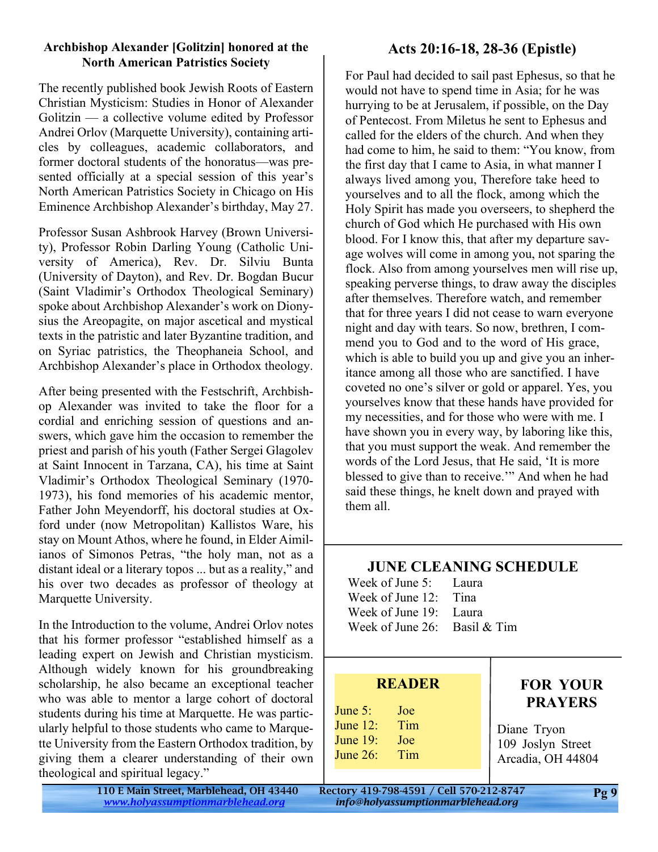#### **Archbishop Alexander [Golitzin] honored at the North American Patristics Society**

The recently published book Jewish Roots of Eastern Christian Mysticism: Studies in Honor of Alexander Golitzin — a collective volume edited by Professor Andrei Orlov (Marquette University), containing articles by colleagues, academic collaborators, and former doctoral students of the honoratus—was presented officially at a special session of this year's North American Patristics Society in Chicago on His Eminence Archbishop Alexander's birthday, May 27.

Professor Susan Ashbrook Harvey (Brown University), Professor Robin Darling Young (Catholic University of America), Rev. Dr. Silviu Bunta (University of Dayton), and Rev. Dr. Bogdan Bucur (Saint Vladimir's Orthodox Theological Seminary) spoke about Archbishop Alexander's work on Dionysius the Areopagite, on major ascetical and mystical texts in the patristic and later Byzantine tradition, and on Syriac patristics, the Theophaneia School, and Archbishop Alexander's place in Orthodox theology.

After being presented with the Festschrift, Archbishop Alexander was invited to take the floor for a cordial and enriching session of questions and answers, which gave him the occasion to remember the priest and parish of his youth (Father Sergei Glagolev at Saint Innocent in Tarzana, CA), his time at Saint Vladimir's Orthodox Theological Seminary (1970- 1973), his fond memories of his academic mentor, Father John Meyendorff, his doctoral studies at Oxford under (now Metropolitan) Kallistos Ware, his stay on Mount Athos, where he found, in Elder Aimilianos of Simonos Petras, "the holy man, not as a distant ideal or a literary topos ... but as a reality," and his over two decades as professor of theology at Marquette University.

In the Introduction to the volume, Andrei Orlov notes that his former professor "established himself as a leading expert on Jewish and Christian mysticism. Although widely known for his groundbreaking scholarship, he also became an exceptional teacher who was able to mentor a large cohort of doctoral students during his time at Marquette. He was particularly helpful to those students who came to Marquette University from the Eastern Orthodox tradition, by giving them a clearer understanding of their own theological and spiritual legacy."

# **Acts 20:16-18, 28-36 (Epistle)**

For Paul had decided to sail past Ephesus, so that he would not have to spend time in Asia; for he was hurrying to be at Jerusalem, if possible, on the Day of Pentecost. From Miletus he sent to Ephesus and called for the elders of the church. And when they had come to him, he said to them: "You know, from the first day that I came to Asia, in what manner I always lived among you, Therefore take heed to yourselves and to all the flock, among which the Holy Spirit has made you overseers, to shepherd the church of God which He purchased with His own blood. For I know this, that after my departure savage wolves will come in among you, not sparing the flock. Also from among yourselves men will rise up, speaking perverse things, to draw away the disciples after themselves. Therefore watch, and remember that for three years I did not cease to warn everyone night and day with tears. So now, brethren, I commend you to God and to the word of His grace, which is able to build you up and give you an inheritance among all those who are sanctified. I have coveted no one's silver or gold or apparel. Yes, you yourselves know that these hands have provided for my necessities, and for those who were with me. I have shown you in every way, by laboring like this, that you must support the weak. And remember the words of the Lord Jesus, that He said, 'It is more blessed to give than to receive.'" And when he had said these things, he knelt down and prayed with them all.

#### **JUNE CLEANING SCHEDULE** Week of June 5: Laura Week of June 12: Tina Week of June 19: Laura

| $\mathbf{W}$ control of $\mathbf{W}$ is the set of $\mathbf{W}$ |  |
|-----------------------------------------------------------------|--|
| Week of June 26: Basil & Tim                                    |  |

## **READER**

June 5: Joe June 12: Tim June 19: Joe June 26: Tim

# **FOR YOUR PRAYERS**

Diane Tryon 109 Joslyn Street Arcadia, OH 44804